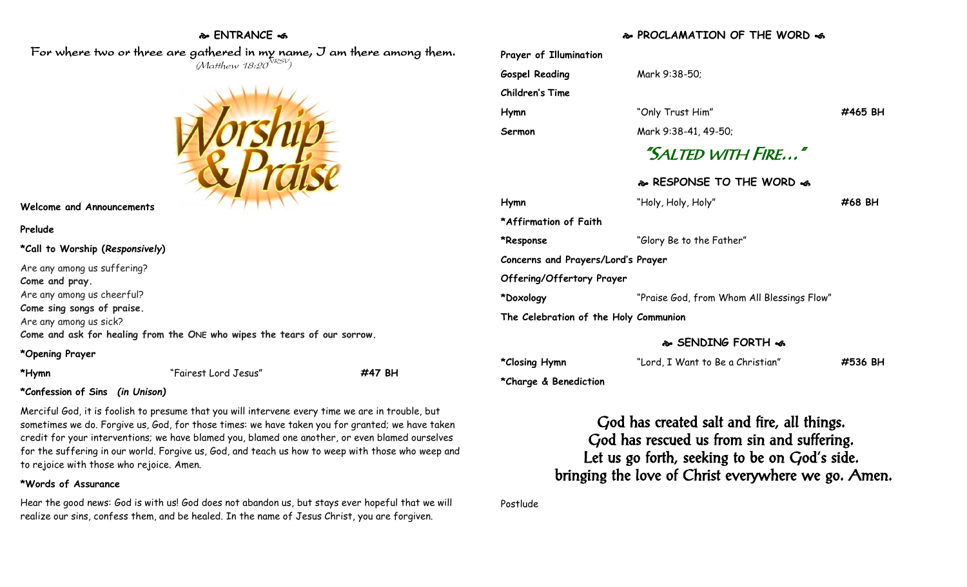## **ENTRANCE**

For where two or three are gathered in my name, I am there among them.  $(M$ atthew 18:20 $^{NRSV})$ 



#### **Welcome and Announcements**

### **Prelude**

**\*Call to Worship (***Responsively***)** 

| Are any among us suffering?                                              |
|--------------------------------------------------------------------------|
| Come and pray.                                                           |
| Are any among us cheerful?                                               |
| Come sing songs of praise.                                               |
| Are any among us sick?                                                   |
| Come and ask for healing from the ONE who wipes the tears of our sorrow. |
|                                                                          |

## **\*Opening Prayer**

**\*Hymn** "Fairest Lord Jesus" **#47 BH**

# **\*Confession of Sins** *(in Unison)*

Merciful God, it is foolish to presume that you will intervene every time we are in trouble, but sometimes we do. Forgive us, God, for those times: we have taken you for granted; we have taken credit for your interventions; we have blamed you, blamed one another, or even blamed ourselves for the suffering in our world. Forgive us, God, and teach us how to weep with those who weep and to rejoice with those who rejoice. Amen.

# **\*Words of Assurance**

Hear the good news: God is with us! God does not abandon us, but stays ever hopeful that we will realize our sins, confess them, and be healed. In the name of Jesus Christ, you are forgiven.

# **PROCLAMATION OF THE WORD**

| Prayer of Illumination                |                                            |         |  |  |
|---------------------------------------|--------------------------------------------|---------|--|--|
| <b>Gospel Reading</b>                 | Mark 9:38-50;                              |         |  |  |
| Children's Time                       |                                            |         |  |  |
| Hymn                                  | "Only Trust Him"                           | #465 BH |  |  |
| Sermon                                | Mark 9:38-41, 49-50;                       |         |  |  |
| "SALTED WITH FIRE"                    |                                            |         |  |  |
|                                       | & RESPONSE TO THE WORD &                   |         |  |  |
| Hymn                                  | "Holy, Holy, Holy"                         | #68 BH  |  |  |
| *Affirmation of Faith                 |                                            |         |  |  |
| *Response                             | "Glory Be to the Father"                   |         |  |  |
| Concerns and Prayers/Lord's Prayer    |                                            |         |  |  |
| Offering/Offertory Prayer             |                                            |         |  |  |
| *Doxology                             | "Praise God, from Whom All Blessings Flow" |         |  |  |
| The Celebration of the Holy Communion |                                            |         |  |  |

# **SENDING FORTH**

| *Closing Hymn | "Lord, I Want to Be a Christian" | #536 BH |
|---------------|----------------------------------|---------|
|               |                                  |         |

**\*Charge & Benediction**

God has created salt and fire, all things. God has rescued us from sin and suffering. Let us go forth, seeking to be on God's side. bringing the love of Christ everywhere we go. Amen.

Postlude